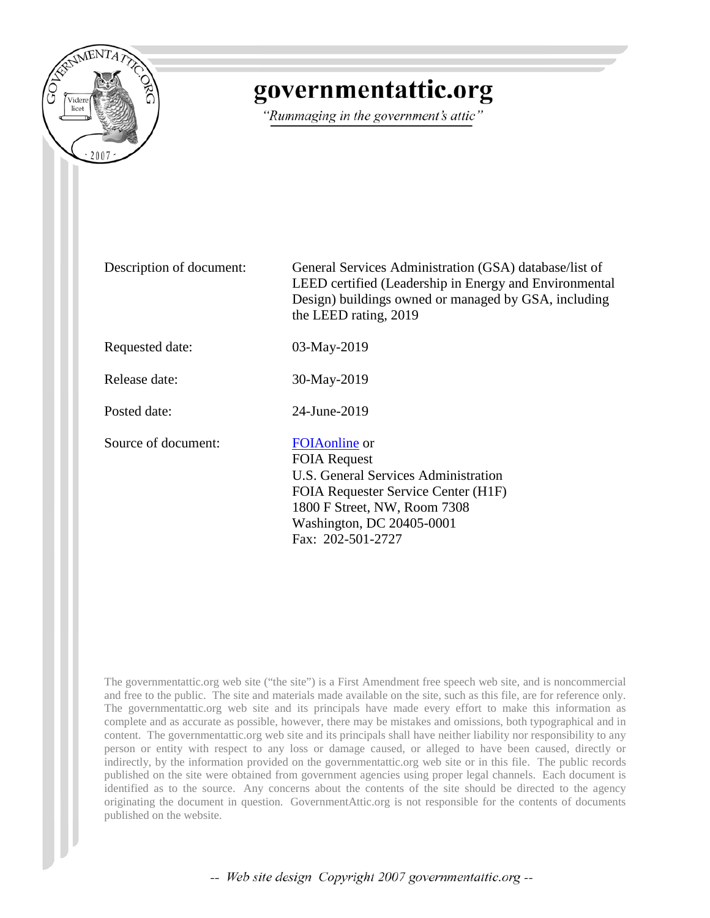

## governmentattic.org

"Rummaging in the government's attic"

Description of document: General Services Administration (GSA) database/list of LEED certified (Leadership in Energy and Environmental Design) buildings owned or managed by GSA, including the LEED rating, 2019

Requested date: 03-May-2019

Release date: 30-May-2019

Posted date: 24-June-2019

Source of document: [FOIAonline](https://www.gsa.gov/reference/freedom-of-information-act-foia) or

FOIA Request U.S. General Services Administration FOIA Requester Service Center (H1F) 1800 F Street, NW, Room 7308 Washington, DC 20405-0001 Fax: 202-501-2727

The governmentattic.org web site ("the site") is a First Amendment free speech web site, and is noncommercial and free to the public. The site and materials made available on the site, such as this file, are for reference only. The governmentattic.org web site and its principals have made every effort to make this information as complete and as accurate as possible, however, there may be mistakes and omissions, both typographical and in content. The governmentattic.org web site and its principals shall have neither liability nor responsibility to any person or entity with respect to any loss or damage caused, or alleged to have been caused, directly or indirectly, by the information provided on the governmentattic.org web site or in this file. The public records published on the site were obtained from government agencies using proper legal channels. Each document is identified as to the source. Any concerns about the contents of the site should be directed to the agency originating the document in question. GovernmentAttic.org is not responsible for the contents of documents published on the website.

-- Web site design Copyright 2007 governmentattic.org --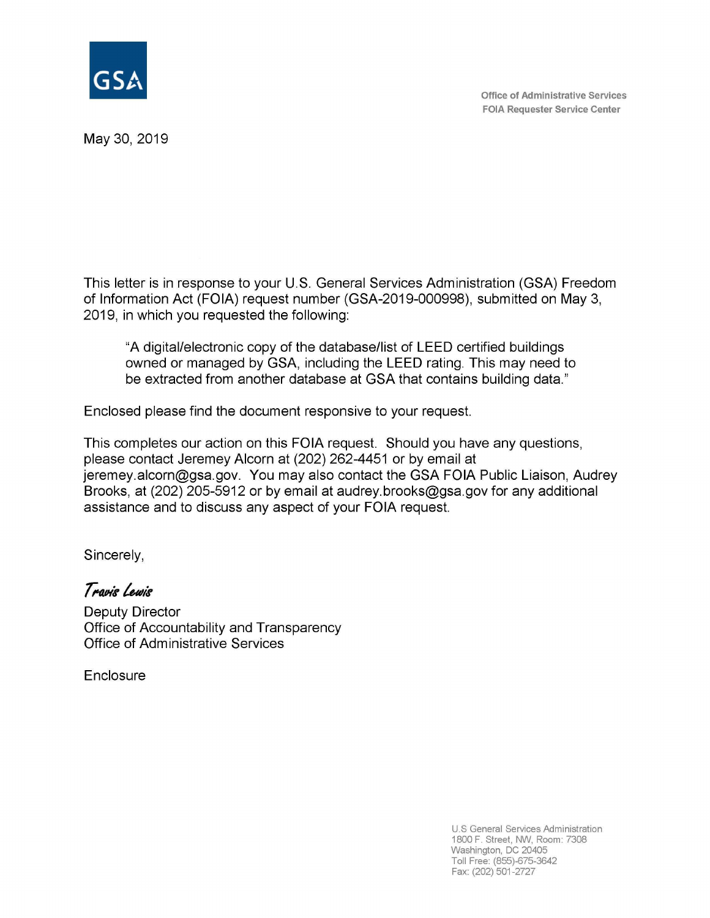

**Office of Administrative Services FOIA Requester Service Center** 

May 30, 2019

This letter is in response to your U.S. General Services Administration (GSA) Freedom of Information Act (FOIA) request number (GSA-2019-000998), submitted on May 3, 2019, in which you requested the following:

"A digital/electronic copy of the database/list of **LEED** certified buildings owned or managed by GSA, including the **LEED** rating. This may need to be extracted from another database at GSA that contains building data."

Enclosed please find the document responsive to your request.

This completes our action on this FOIA request. Should you have any questions, please contact Jeremey Alcorn at (202) 262-4451 or by email at jeremey.alcorn@gsa.gov. You may also contact the GSA FOIA Public Liaison, Audrey Brooks, at (202) 205-5912 or by email at audrey.brooks@gsa.gov for any additional assistance and to discuss any aspect of your FOIA request.

Sincerely,

*T* **~"&- iul,"&-**

Deputy Director Office of Accountability and Transparency Office of Administrative Services

**Enclosure** 

U.S General Services Administration 1800 F. Street, NW, Room: 7308 Washington, DC 20405 Toll Free: (855)-675-3642 Fax: (202) 501-2727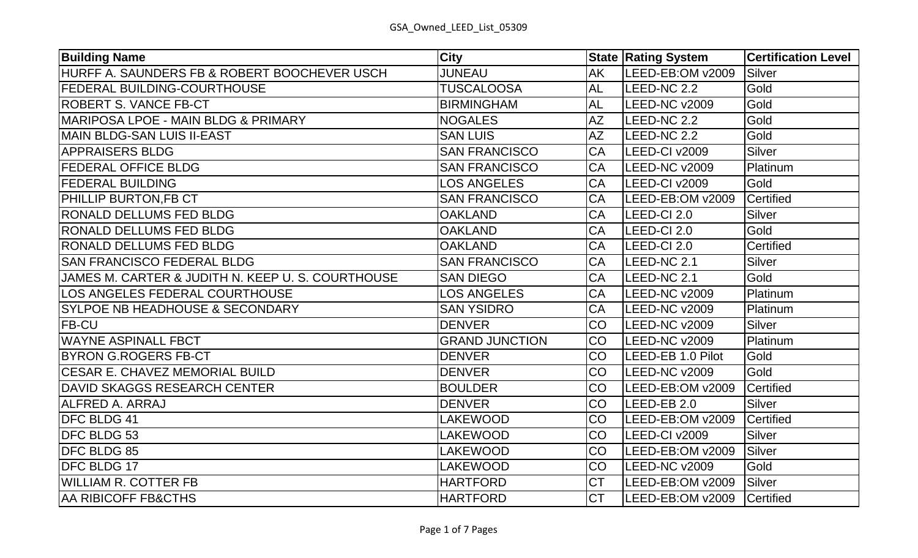| <b>Building Name</b>                              | <b>City</b>           |           | <b>State Rating System</b> | <b>Certification Level</b> |
|---------------------------------------------------|-----------------------|-----------|----------------------------|----------------------------|
| HURFF A. SAUNDERS FB & ROBERT BOOCHEVER USCH      | <b>JUNEAU</b>         | <b>AK</b> | LEED-EB:OM v2009           | <b>Silver</b>              |
| <b>FEDERAL BUILDING-COURTHOUSE</b>                | <b>TUSCALOOSA</b>     | AL        | LEED-NC 2.2                | Gold                       |
| <b>ROBERT S. VANCE FB-CT</b>                      | <b>BIRMINGHAM</b>     | <b>AL</b> | LEED-NC v2009              | Gold                       |
| MARIPOSA LPOE - MAIN BLDG & PRIMARY               | <b>NOGALES</b>        | <b>AZ</b> | LEED-NC 2.2                | Gold                       |
| MAIN BLDG-SAN LUIS II-EAST                        | <b>SAN LUIS</b>       | <b>AZ</b> | LEED-NC 2.2                | Gold                       |
| <b>APPRAISERS BLDG</b>                            | <b>SAN FRANCISCO</b>  | CA        | LEED-CI v2009              | <b>Silver</b>              |
| <b>FEDERAL OFFICE BLDG</b>                        | <b>SAN FRANCISCO</b>  | CA        | LEED-NC v2009              | Platinum                   |
| <b>FEDERAL BUILDING</b>                           | <b>LOS ANGELES</b>    | CA        | LEED-CI v2009              | Gold                       |
| PHILLIP BURTON,FB CT                              | <b>SAN FRANCISCO</b>  | CA        | LEED-EB:OM v2009           | Certified                  |
| <b>RONALD DELLUMS FED BLDG</b>                    | <b>OAKLAND</b>        | CA        | LEED-CI 2.0                | <b>Silver</b>              |
| <b>RONALD DELLUMS FED BLDG</b>                    | <b>OAKLAND</b>        | <b>CA</b> | LEED-CI 2.0                | Gold                       |
| <b>RONALD DELLUMS FED BLDG</b>                    | <b>OAKLAND</b>        | <b>CA</b> | LEED-CI 2.0                | Certified                  |
| <b>SAN FRANCISCO FEDERAL BLDG</b>                 | <b>SAN FRANCISCO</b>  | CA        | LEED-NC 2.1                | <b>Silver</b>              |
| JAMES M. CARTER & JUDITH N. KEEP U. S. COURTHOUSE | <b>SAN DIEGO</b>      | CA        | LEED-NC 2.1                | Gold                       |
| <b>LOS ANGELES FEDERAL COURTHOUSE</b>             | <b>LOS ANGELES</b>    | CA        | LEED-NC v2009              | Platinum                   |
| <b>SYLPOE NB HEADHOUSE &amp; SECONDARY</b>        | <b>SAN YSIDRO</b>     | CA        | LEED-NC v2009              | Platinum                   |
| <b>FB-CU</b>                                      | <b>DENVER</b>         | CO        | LEED-NC v2009              | <b>Silver</b>              |
| <b>WAYNE ASPINALL FBCT</b>                        | <b>GRAND JUNCTION</b> | <b>CO</b> | LEED-NC v2009              | Platinum                   |
| <b>BYRON G.ROGERS FB-CT</b>                       | <b>DENVER</b>         | CO        | LEED-EB 1.0 Pilot          | Gold                       |
| <b>CESAR E. CHAVEZ MEMORIAL BUILD</b>             | <b>DENVER</b>         | CO        | LEED-NC v2009              | Gold                       |
| <b>DAVID SKAGGS RESEARCH CENTER</b>               | <b>BOULDER</b>        | CO        | LEED-EB:OM v2009           | Certified                  |
| <b>ALFRED A. ARRAJ</b>                            | <b>DENVER</b>         | CO        | LEED-EB 2.0                | <b>Silver</b>              |
| <b>DFC BLDG 41</b>                                | <b>LAKEWOOD</b>       | CO        | LEED-EB:OM v2009           | Certified                  |
| <b>DFC BLDG 53</b>                                | <b>LAKEWOOD</b>       | CO        | LEED-CI v2009              | <b>Silver</b>              |
| <b>DFC BLDG 85</b>                                | <b>LAKEWOOD</b>       | CO        | LEED-EB:OM v2009           | <b>Silver</b>              |
| <b>DFC BLDG 17</b>                                | <b>LAKEWOOD</b>       | CO        | LEED-NC v2009              | Gold                       |
| <b>WILLIAM R. COTTER FB</b>                       | <b>HARTFORD</b>       | <b>CT</b> | LEED-EB:OM v2009           | Silver                     |
| <b>AA RIBICOFF FB&amp;CTHS</b>                    | <b>HARTFORD</b>       | <b>CT</b> | LEED-EB:OM v2009           | Certified                  |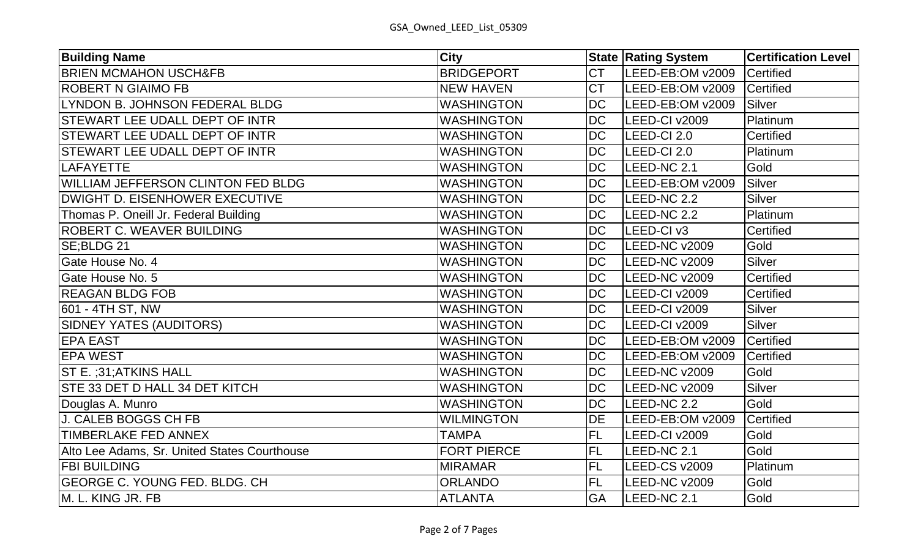| <b>Building Name</b>                         | <b>City</b>        |           | <b>State Rating System</b> | <b>Certification Level</b> |
|----------------------------------------------|--------------------|-----------|----------------------------|----------------------------|
| <b>BRIEN MCMAHON USCH&amp;FB</b>             | <b>BRIDGEPORT</b>  | <b>CT</b> | LEED-EB:OM v2009           | Certified                  |
| <b>ROBERT N GIAIMO FB</b>                    | <b>NEW HAVEN</b>   | <b>CT</b> | LEED-EB:OM v2009           | Certified                  |
| LYNDON B. JOHNSON FEDERAL BLDG               | <b>WASHINGTON</b>  | <b>DC</b> | LEED-EB:OM v2009           | Silver                     |
| <b>STEWART LEE UDALL DEPT OF INTR</b>        | <b>WASHINGTON</b>  | <b>DC</b> | LEED-CI v2009              | Platinum                   |
| STEWART LEE UDALL DEPT OF INTR               | <b>WASHINGTON</b>  | <b>DC</b> | LEED-CI 2.0                | <b>Certified</b>           |
| <b>STEWART LEE UDALL DEPT OF INTR</b>        | <b>WASHINGTON</b>  | <b>DC</b> | LEED-CI 2.0                | Platinum                   |
| <b>LAFAYETTE</b>                             | <b>WASHINGTON</b>  | <b>DC</b> | LEED-NC 2.1                | Gold                       |
| <b>WILLIAM JEFFERSON CLINTON FED BLDG</b>    | <b>WASHINGTON</b>  | <b>DC</b> | LEED-EB:OM v2009           | <b>Silver</b>              |
| <b>DWIGHT D. EISENHOWER EXECUTIVE</b>        | <b>WASHINGTON</b>  | <b>DC</b> | LEED-NC 2.2                | <b>Silver</b>              |
| Thomas P. Oneill Jr. Federal Building        | <b>WASHINGTON</b>  | <b>DC</b> | LEED-NC 2.2                | Platinum                   |
| <b>ROBERT C. WEAVER BUILDING</b>             | <b>WASHINGTON</b>  | <b>DC</b> | LEED-CI v3                 | <b>Certified</b>           |
| SE;BLDG 21                                   | <b>WASHINGTON</b>  | <b>DC</b> | LEED-NC v2009              | Gold                       |
| Gate House No. 4                             | <b>WASHINGTON</b>  | <b>DC</b> | LEED-NC v2009              | <b>Silver</b>              |
| <b>Gate House No. 5</b>                      | <b>WASHINGTON</b>  | <b>DC</b> | LEED-NC v2009              | Certified                  |
| <b>REAGAN BLDG FOB</b>                       | <b>WASHINGTON</b>  | <b>DC</b> | LEED-CI v2009              | Certified                  |
| 601 - 4TH ST, NW                             | <b>WASHINGTON</b>  | <b>DC</b> | LEED-CI v2009              | <b>Silver</b>              |
| SIDNEY YATES (AUDITORS)                      | <b>WASHINGTON</b>  | <b>DC</b> | LEED-CI v2009              | <b>Silver</b>              |
| <b>EPA EAST</b>                              | <b>WASHINGTON</b>  | <b>DC</b> | LEED-EB:OM v2009           | Certified                  |
| <b>EPA WEST</b>                              | <b>WASHINGTON</b>  | <b>DC</b> | LEED-EB:OM v2009           | Certified                  |
| ST E. ;31;ATKINS HALL                        | <b>WASHINGTON</b>  | <b>DC</b> | LEED-NC v2009              | Gold                       |
| STE 33 DET D HALL 34 DET KITCH               | <b>WASHINGTON</b>  | <b>DC</b> | LEED-NC v2009              | <b>Silver</b>              |
| Douglas A. Munro                             | <b>WASHINGTON</b>  | <b>DC</b> | LEED-NC 2.2                | Gold                       |
| <b>J. CALEB BOGGS CH FB</b>                  | <b>WILMINGTON</b>  | DE        | LEED-EB:OM v2009           | Certified                  |
| TIMBERLAKE FED ANNEX                         | <b>TAMPA</b>       | <b>FL</b> | LEED-CI v2009              | Gold                       |
| Alto Lee Adams, Sr. United States Courthouse | <b>FORT PIERCE</b> | <b>FL</b> | LEED-NC 2.1                | Gold                       |
| <b>FBI BUILDING</b>                          | <b>MIRAMAR</b>     | <b>FL</b> | <b>LEED-CS v2009</b>       | Platinum                   |
| <b>GEORGE C. YOUNG FED. BLDG. CH</b>         | <b>ORLANDO</b>     | <b>FL</b> | LEED-NC v2009              | Gold                       |
| M. L. KING JR. FB                            | <b>ATLANTA</b>     | GA        | LEED-NC 2.1                | Gold                       |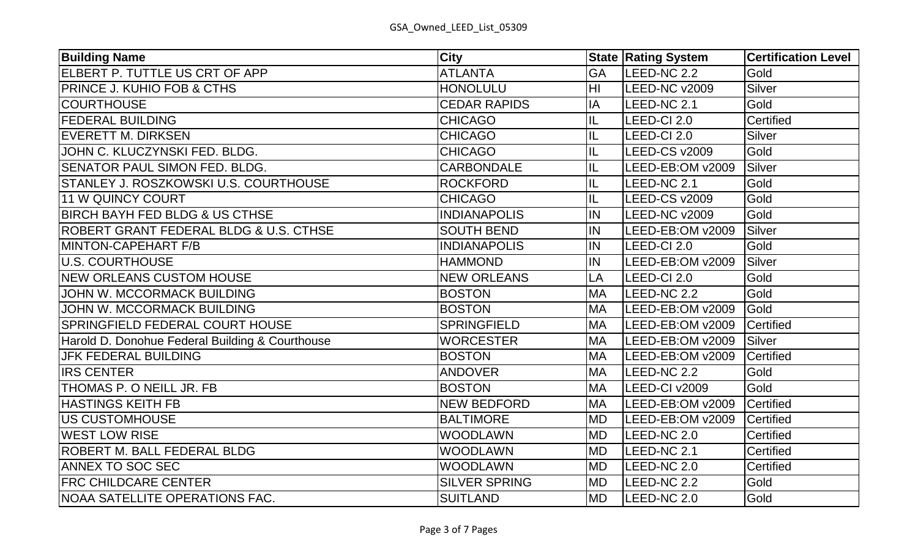| <b>Building Name</b>                            | <b>City</b>          |                | <b>State Rating System</b> | <b>Certification Level</b> |
|-------------------------------------------------|----------------------|----------------|----------------------------|----------------------------|
| ELBERT P. TUTTLE US CRT OF APP                  | <b>ATLANTA</b>       | <b>GA</b>      | LEED-NC 2.2                | Gold                       |
| <b>PRINCE J. KUHIO FOB &amp; CTHS</b>           | <b>HONOLULU</b>      | H <sub>l</sub> | LEED-NC v2009              | <b>Silver</b>              |
| <b>COURTHOUSE</b>                               | <b>CEDAR RAPIDS</b>  | IA             | LEED-NC 2.1                | Gold                       |
| <b>FEDERAL BUILDING</b>                         | <b>CHICAGO</b>       | IL             | LEED-CI 2.0                | Certified                  |
| <b>EVERETT M. DIRKSEN</b>                       | <b>CHICAGO</b>       | IL             | LEED-CI 2.0                | <b>Silver</b>              |
| JOHN C. KLUCZYNSKI FED. BLDG.                   | <b>CHICAGO</b>       | IL             | LEED-CS v2009              | Gold                       |
| SENATOR PAUL SIMON FED. BLDG.                   | <b>CARBONDALE</b>    | IL             | LEED-EB:OM v2009           | Silver                     |
| STANLEY J. ROSZKOWSKI U.S. COURTHOUSE           | <b>ROCKFORD</b>      | IL             | LEED-NC 2.1                | Gold                       |
| 11 W QUINCY COURT                               | <b>CHICAGO</b>       | IL             | <b>LEED-CS v2009</b>       | Gold                       |
| BIRCH BAYH FED BLDG & US CTHSE                  | <b>INDIANAPOLIS</b>  | IN             | LEED-NC v2009              | Gold                       |
| ROBERT GRANT FEDERAL BLDG & U.S. CTHSE          | <b>SOUTH BEND</b>    | IN             | LEED-EB:OM v2009           | <b>Silver</b>              |
| MINTON-CAPEHART F/B                             | <b>INDIANAPOLIS</b>  | IN             | LEED-CI 2.0                | Gold                       |
| U.S. COURTHOUSE                                 | <b>HAMMOND</b>       | IN             | LEED-EB:OM v2009           | Silver                     |
| <b>NEW ORLEANS CUSTOM HOUSE</b>                 | <b>NEW ORLEANS</b>   | LA             | LEED-CI 2.0                | Gold                       |
| <b>JOHN W. MCCORMACK BUILDING</b>               | <b>BOSTON</b>        | <b>MA</b>      | LEED-NC 2.2                | Gold                       |
| JOHN W. MCCORMACK BUILDING                      | <b>BOSTON</b>        | <b>MA</b>      | LEED-EB:OM v2009           | Gold                       |
| <b>SPRINGFIELD FEDERAL COURT HOUSE</b>          | <b>SPRINGFIELD</b>   | <b>MA</b>      | LEED-EB:OM v2009           | Certified                  |
| Harold D. Donohue Federal Building & Courthouse | <b>WORCESTER</b>     | <b>MA</b>      | LEED-EB:OM v2009           | Silver                     |
| JFK FEDERAL BUILDING                            | <b>BOSTON</b>        | <b>MA</b>      | LEED-EB:OM v2009           | Certified                  |
| <b>IRS CENTER</b>                               | <b>ANDOVER</b>       | <b>MA</b>      | LEED-NC 2.2                | Gold                       |
| THOMAS P. O NEILL JR. FB                        | <b>BOSTON</b>        | <b>MA</b>      | LEED-CI v2009              | Gold                       |
| <b>HASTINGS KEITH FB</b>                        | <b>NEW BEDFORD</b>   | <b>MA</b>      | LEED-EB:OM v2009           | Certified                  |
| US CUSTOMHOUSE                                  | <b>BALTIMORE</b>     | <b>MD</b>      | LEED-EB:OM v2009           | Certified                  |
| <b>WEST LOW RISE</b>                            | <b>WOODLAWN</b>      | <b>MD</b>      | LEED-NC 2.0                | <b>Certified</b>           |
| <b>ROBERT M. BALL FEDERAL BLDG</b>              | <b>WOODLAWN</b>      | <b>MD</b>      | LEED-NC 2.1                | Certified                  |
| <b>ANNEX TO SOC SEC</b>                         | <b>WOODLAWN</b>      | <b>MD</b>      | LEED-NC 2.0                | Certified                  |
| <b>FRC CHILDCARE CENTER</b>                     | <b>SILVER SPRING</b> | <b>MD</b>      | LEED-NC 2.2                | Gold                       |
| NOAA SATELLITE OPERATIONS FAC.                  | <b>SUITLAND</b>      | <b>MD</b>      | LEED-NC 2.0                | Gold                       |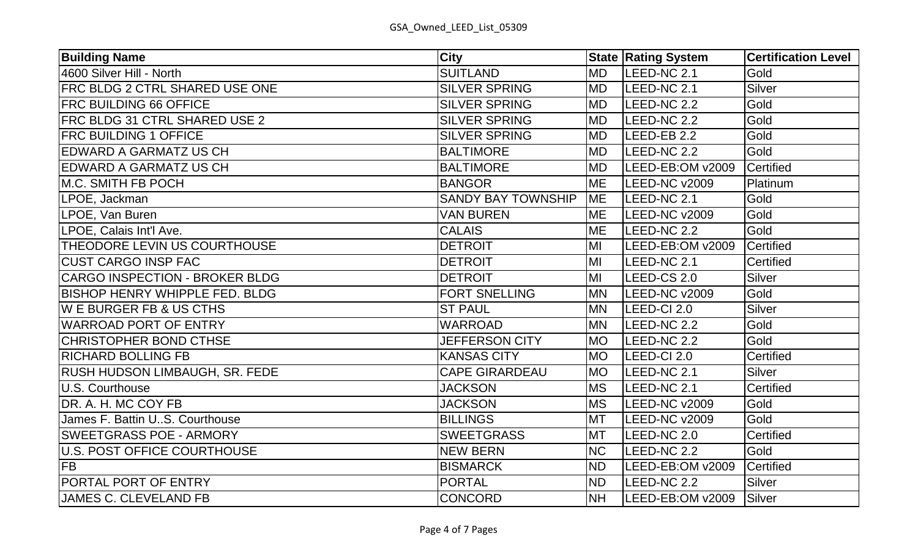| <b>Building Name</b>                  | <b>City</b>               |           | <b>State Rating System</b> | <b>Certification Level</b> |
|---------------------------------------|---------------------------|-----------|----------------------------|----------------------------|
| 4600 Silver Hill - North              | <b>SUITLAND</b>           | <b>MD</b> | LEED-NC 2.1                | Gold                       |
| FRC BLDG 2 CTRL SHARED USE ONE        | <b>SILVER SPRING</b>      | <b>MD</b> | LEED-NC 2.1                | Silver                     |
| <b>FRC BUILDING 66 OFFICE</b>         | <b>SILVER SPRING</b>      | <b>MD</b> | LEED-NC 2.2                | Gold                       |
| <b>FRC BLDG 31 CTRL SHARED USE 2</b>  | <b>SILVER SPRING</b>      | <b>MD</b> | LEED-NC 2.2                | Gold                       |
| <b>FRC BUILDING 1 OFFICE</b>          | <b>SILVER SPRING</b>      | <b>MD</b> | LEED-EB 2.2                | Gold                       |
| <b>EDWARD A GARMATZ US CH</b>         | <b>BALTIMORE</b>          | <b>MD</b> | LEED-NC 2.2                | Gold                       |
| <b>EDWARD A GARMATZ US CH</b>         | <b>BALTIMORE</b>          | <b>MD</b> | LEED-EB:OM v2009           | Certified                  |
| M.C. SMITH FB POCH                    | <b>BANGOR</b>             | <b>ME</b> | LEED-NC v2009              | Platinum                   |
| LPOE, Jackman                         | <b>SANDY BAY TOWNSHIP</b> | <b>ME</b> | LEED-NC 2.1                | Gold                       |
| LPOE, Van Buren                       | <b>VAN BUREN</b>          | <b>ME</b> | LEED-NC v2009              | Gold                       |
| LPOE, Calais Int'l Ave.               | <b>CALAIS</b>             | <b>ME</b> | LEED-NC 2.2                | Gold                       |
| THEODORE LEVIN US COURTHOUSE          | <b>DETROIT</b>            | MI        | LEED-EB:OM v2009           | Certified                  |
| <b>CUST CARGO INSP FAC</b>            | <b>DETROIT</b>            | MI        | LEED-NC 2.1                | Certified                  |
| <b>CARGO INSPECTION - BROKER BLDG</b> | <b>DETROIT</b>            | MI        | LEED-CS 2.0                | <b>Silver</b>              |
| <b>BISHOP HENRY WHIPPLE FED. BLDG</b> | FORT SNELLING             | <b>MN</b> | LEED-NC v2009              | Gold                       |
| <b>WE BURGER FB &amp; US CTHS</b>     | <b>ST PAUL</b>            | <b>MN</b> | LEED-CI 2.0                | Silver                     |
| <b>WARROAD PORT OF ENTRY</b>          | <b>WARROAD</b>            | <b>MN</b> | LEED-NC 2.2                | Gold                       |
| <b>CHRISTOPHER BOND CTHSE</b>         | <b>JEFFERSON CITY</b>     | <b>MO</b> | LEED-NC 2.2                | Gold                       |
| <b>RICHARD BOLLING FB</b>             | <b>KANSAS CITY</b>        | <b>MO</b> | LEED-CI 2.0                | Certified                  |
| <b>RUSH HUDSON LIMBAUGH, SR. FEDE</b> | <b>CAPE GIRARDEAU</b>     | <b>MO</b> | LEED-NC 2.1                | Silver                     |
| <b>U.S. Courthouse</b>                | <b>JACKSON</b>            | <b>MS</b> | LEED-NC 2.1                | Certified                  |
| DR. A. H. MC COY FB                   | <b>JACKSON</b>            | <b>MS</b> | LEED-NC v2009              | Gold                       |
| James F. Battin U.S. Courthouse       | <b>BILLINGS</b>           | <b>MT</b> | LEED-NC v2009              | Gold                       |
| <b>SWEETGRASS POE - ARMORY</b>        | <b>SWEETGRASS</b>         | <b>MT</b> | LEED-NC 2.0                | Certified                  |
| U.S. POST OFFICE COURTHOUSE           | <b>NEW BERN</b>           | <b>NC</b> | LEED-NC 2.2                | Gold                       |
| <b>FB</b>                             | <b>BISMARCK</b>           | <b>ND</b> | LEED-EB:OM v2009           | Certified                  |
| <b>PORTAL PORT OF ENTRY</b>           | <b>PORTAL</b>             | <b>ND</b> | LEED-NC 2.2                | Silver                     |
| <b>JAMES C. CLEVELAND FB</b>          | <b>CONCORD</b>            | <b>NH</b> | LEED-EB:OM v2009           | Silver                     |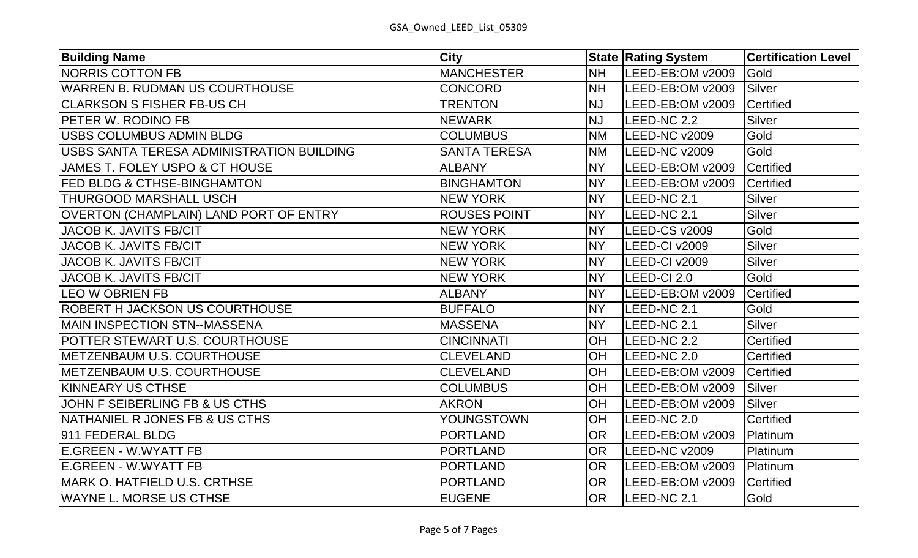| <b>Building Name</b>                      | <b>City</b>         |           | <b>State Rating System</b> | <b>Certification Level</b> |
|-------------------------------------------|---------------------|-----------|----------------------------|----------------------------|
| <b>NORRIS COTTON FB</b>                   | <b>MANCHESTER</b>   | <b>NH</b> | LEED-EB:OM v2009           | Gold                       |
| <b>WARREN B. RUDMAN US COURTHOUSE</b>     | <b>CONCORD</b>      | <b>NH</b> | LEED-EB:OM v2009           | <b>Silver</b>              |
| <b>CLARKSON S FISHER FB-US CH</b>         | <b>TRENTON</b>      | <b>NJ</b> | LEED-EB:OM v2009           | Certified                  |
| <b>PETER W. RODINO FB</b>                 | <b>NEWARK</b>       | <b>NJ</b> | LEED-NC 2.2                | <b>Silver</b>              |
| IUSBS COLUMBUS ADMIN BLDG                 | <b>COLUMBUS</b>     | <b>NM</b> | LEED-NC v2009              | Gold                       |
| USBS SANTA TERESA ADMINISTRATION BUILDING | <b>SANTA TERESA</b> | <b>NM</b> | LEED-NC v2009              | Gold                       |
| JAMES T. FOLEY USPO & CT HOUSE            | <b>ALBANY</b>       | <b>NY</b> | LEED-EB:OM v2009           | Certified                  |
| <b>FED BLDG &amp; CTHSE-BINGHAMTON</b>    | <b>BINGHAMTON</b>   | <b>NY</b> | LEED-EB:OM v2009           | Certified                  |
| <b>THURGOOD MARSHALL USCH</b>             | <b>NEW YORK</b>     | <b>NY</b> | LEED-NC 2.1                | <b>Silver</b>              |
| OVERTON (CHAMPLAIN) LAND PORT OF ENTRY    | <b>ROUSES POINT</b> | <b>NY</b> | LEED-NC 2.1                | <b>Silver</b>              |
| JACOB K. JAVITS FB/CIT                    | <b>NEW YORK</b>     | <b>NY</b> | LEED-CS v2009              | Gold                       |
| <b>JACOB K. JAVITS FB/CIT</b>             | <b>NEW YORK</b>     | <b>NY</b> | LEED-CI v2009              | <b>Silver</b>              |
| JACOB K. JAVITS FB/CIT                    | <b>NEW YORK</b>     | <b>NY</b> | LEED-CI v2009              | <b>Silver</b>              |
| <b>JACOB K. JAVITS FB/CIT</b>             | <b>NEW YORK</b>     | <b>NY</b> | LEED-CI 2.0                | Gold                       |
| <b>LEO W OBRIEN FB</b>                    | <b>ALBANY</b>       | <b>NY</b> | LEED-EB:OM v2009           | Certified                  |
| <b>ROBERT H JACKSON US COURTHOUSE</b>     | <b>BUFFALO</b>      | <b>NY</b> | LEED-NC 2.1                | Gold                       |
| <b>IMAIN INSPECTION STN--MASSENA</b>      | <b>MASSENA</b>      | <b>NY</b> | LEED-NC 2.1                | <b>Silver</b>              |
| <b>POTTER STEWART U.S. COURTHOUSE</b>     | <b>CINCINNATI</b>   | OH        | LEED-NC 2.2                | <b>Certified</b>           |
| METZENBAUM U.S. COURTHOUSE                | <b>CLEVELAND</b>    | OH        | LEED-NC 2.0                | <b>Certified</b>           |
| METZENBAUM U.S. COURTHOUSE                | <b>CLEVELAND</b>    | OH        | LEED-EB:OM v2009           | Certified                  |
| <b>KINNEARY US CTHSE</b>                  | <b>COLUMBUS</b>     | OH        | LEED-EB:OM v2009           | Silver                     |
| JOHN F SEIBERLING FB & US CTHS            | <b>AKRON</b>        | OH        | LEED-EB:OM v2009           | Silver                     |
| NATHANIEL R JONES FB & US CTHS            | YOUNGSTOWN          | OH        | LEED-NC 2.0                | <b>Certified</b>           |
| 911 FEDERAL BLDG                          | <b>PORTLAND</b>     | <b>OR</b> | LEED-EB:OM v2009           | Platinum                   |
| <b>E.GREEN - W.WYATT FB</b>               | <b>PORTLAND</b>     | <b>OR</b> | LEED-NC v2009              | Platinum                   |
| E.GREEN - W.WYATT FB                      | <b>PORTLAND</b>     | <b>OR</b> | LEED-EB:OM v2009           | Platinum                   |
| <b>IMARK O. HATFIELD U.S. CRTHSE</b>      | <b>PORTLAND</b>     | <b>OR</b> | LEED-EB:OM v2009           | Certified                  |
| WAYNE L. MORSE US CTHSE                   | <b>EUGENE</b>       | <b>OR</b> | LEED-NC 2.1                | Gold                       |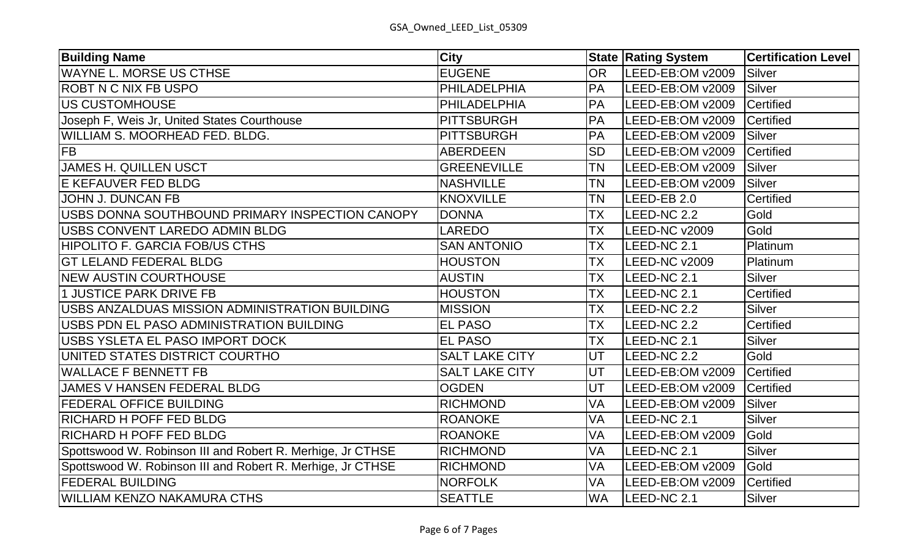| <b>Building Name</b>                                       | <b>City</b>           |           | <b>State Rating System</b> | <b>Certification Level</b> |
|------------------------------------------------------------|-----------------------|-----------|----------------------------|----------------------------|
| WAYNE L. MORSE US CTHSE                                    | <b>EUGENE</b>         | <b>OR</b> | LEED-EB:OM v2009           | <b>Silver</b>              |
| <b>ROBT N C NIX FB USPO</b>                                | PHILADELPHIA          | PA        | LEED-EB:OM v2009           | <b>Silver</b>              |
| US CUSTOMHOUSE                                             | PHILADELPHIA          | <b>PA</b> | LEED-EB:OM v2009           | Certified                  |
| Joseph F, Weis Jr, United States Courthouse                | <b>PITTSBURGH</b>     | <b>PA</b> | LEED-EB:OM v2009           | Certified                  |
| WILLIAM S. MOORHEAD FED. BLDG.                             | <b>PITTSBURGH</b>     | <b>PA</b> | LEED-EB:OM v2009           | <b>Silver</b>              |
| <b>FB</b>                                                  | <b>ABERDEEN</b>       | <b>SD</b> | LEED-EB:OM v2009           | Certified                  |
| <b>JAMES H. QUILLEN USCT</b>                               | <b>GREENEVILLE</b>    | <b>TN</b> | LEED-EB:OM v2009           | Silver                     |
| <b>E KEFAUVER FED BLDG</b>                                 | <b>NASHVILLE</b>      | <b>TN</b> | LEED-EB:OM v2009           | Silver                     |
| <b>JOHN J. DUNCAN FB</b>                                   | <b>KNOXVILLE</b>      | <b>TN</b> | LEED-EB 2.0                | <b>Certified</b>           |
| USBS DONNA SOUTHBOUND PRIMARY INSPECTION CANOPY            | <b>DONNA</b>          | <b>TX</b> | LEED-NC 2.2                | Gold                       |
| USBS CONVENT LAREDO ADMIN BLDG                             | <b>LAREDO</b>         | TX        | LEED-NC v2009              | Gold                       |
| <b>HIPOLITO F. GARCIA FOB/US CTHS</b>                      | <b>SAN ANTONIO</b>    | TX        | LEED-NC 2.1                | Platinum                   |
| <b>GT LELAND FEDERAL BLDG</b>                              | <b>HOUSTON</b>        | <b>TX</b> | LEED-NC v2009              | Platinum                   |
| <b>NEW AUSTIN COURTHOUSE</b>                               | <b>AUSTIN</b>         | <b>TX</b> | LEED-NC 2.1                | <b>Silver</b>              |
| 1 JUSTICE PARK DRIVE FB                                    | <b>HOUSTON</b>        | <b>TX</b> | LEED-NC 2.1                | <b>Certified</b>           |
| USBS ANZALDUAS MISSION ADMINISTRATION BUILDING             | <b>MISSION</b>        | <b>TX</b> | LEED-NC 2.2                | <b>Silver</b>              |
| USBS PDN EL PASO ADMINISTRATION BUILDING                   | <b>EL PASO</b>        | <b>TX</b> | LEED-NC 2.2                | <b>Certified</b>           |
| USBS YSLETA EL PASO IMPORT DOCK                            | <b>EL PASO</b>        | TX        | LEED-NC 2.1                | <b>Silver</b>              |
| UNITED STATES DISTRICT COURTHO                             | <b>SALT LAKE CITY</b> | UT        | LEED-NC 2.2                | Gold                       |
| <b>WALLACE F BENNETT FB</b>                                | <b>SALT LAKE CITY</b> | UT        | LEED-EB:OM v2009           | Certified                  |
| JAMES V HANSEN FEDERAL BLDG                                | <b>OGDEN</b>          | UT        | LEED-EB:OM v2009           | Certified                  |
| <b>FEDERAL OFFICE BUILDING</b>                             | <b>RICHMOND</b>       | VA        | LEED-EB:OM v2009           | <b>Silver</b>              |
| <b>RICHARD H POFF FED BLDG</b>                             | <b>ROANOKE</b>        | VA        | LEED-NC 2.1                | <b>Silver</b>              |
| <b>RICHARD H POFF FED BLDG</b>                             | <b>ROANOKE</b>        | VA        | LEED-EB:OM v2009           | Gold                       |
| Spottswood W. Robinson III and Robert R. Merhige, Jr CTHSE | <b>RICHMOND</b>       | VA        | LEED-NC 2.1                | <b>Silver</b>              |
| Spottswood W. Robinson III and Robert R. Merhige, Jr CTHSE | <b>RICHMOND</b>       | VA        | LEED-EB:OM v2009           | Gold                       |
| <b>FEDERAL BUILDING</b>                                    | <b>NORFOLK</b>        | VA        | LEED-EB:OM v2009           | Certified                  |
| <b>WILLIAM KENZO NAKAMURA CTHS</b>                         | <b>SEATTLE</b>        | <b>WA</b> | LEED-NC 2.1                | <b>Silver</b>              |